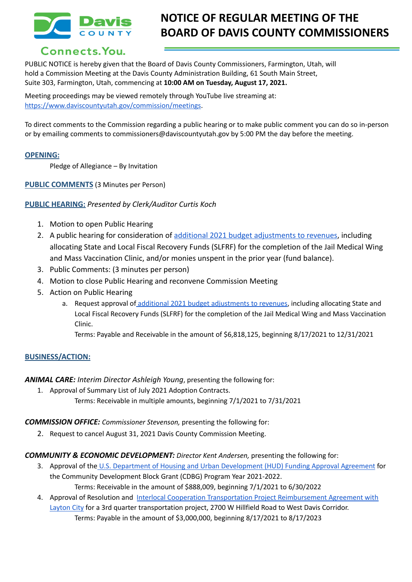

# **NOTICE OF REGULAR MEETING OF THE BOARD OF DAVIS COUNTY COMMISSIONERS**

## Connects. You.

PUBLIC NOTICE is hereby given that the Board of Davis County Commissioners, Farmington, Utah, will hold a Commission Meeting at the Davis County Administration Building, 61 South Main Street, Suite 303, Farmington, Utah, commencing at **10:00 AM on Tuesday, August 17, 2021.**

Meeting proceedings may be viewed remotely through YouTube live streaming at: [https://www.daviscountyutah.gov/commission/meetings.](https://www.daviscountyutah.gov/commission/meetings)

To direct comments to the Commission regarding a public hearing or to make public comment you can do so in-person or by emailing comments to commissioners@daviscountyutah.gov by 5:00 PM the day before the meeting.

#### **OPENING:**

Pledge of Allegiance – By Invitation

#### **PUBLIC COMMENTS** (3 Minutes per Person)

#### **PUBLIC HEARING:** *Presented by Clerk/Auditor Curtis Koch*

- 1. Motion to open Public Hearing
- 2. A public hearing for consideration of additional 2021 [budget adjustments to revenues](https://drive.google.com/file/d/1hMW-ZLi5C2EJpVUJNaNiN12MyZQzlsLS/view?usp=sharing), including allocating State and Local Fiscal Recovery Funds (SLFRF) for the completion of the Jail Medical Wing and Mass Vaccination Clinic, and/or monies unspent in the prior year (fund balance).
- 3. Public Comments: (3 minutes per person)
- 4. Motion to close Public Hearing and reconvene Commission Meeting
- 5. Action on Public Hearing
	- a. Request approval of additional 2021 budget [adjustments](https://drive.google.com/file/d/1hMW-ZLi5C2EJpVUJNaNiN12MyZQzlsLS/view?usp=sharing) to revenues, including allocating State and Local Fiscal Recovery Funds (SLFRF) for the completion of the Jail Medical Wing and Mass Vaccination Clinic.

Terms: Payable and Receivable in the amount of \$6,818,125, beginning 8/17/2021 to 12/31/2021

#### **BUSINESS/ACTION:**

*ANIMAL CARE: Interim Director Ashleigh Young*, presenting the following for:

1. Approval of Summary List of July 2021 Adoption Contracts. Terms: Receivable in multiple amounts, beginning 7/1/2021 to 7/31/2021

#### *COMMISSION OFFICE: Commissioner Stevenson,* presenting the following for:

2. Request to cancel August 31, 2021 Davis County Commission Meeting.

#### *COMMUNITY & ECONOMIC DEVELOPMENT: Director Kent Andersen,* presenting the following for:

- 3. Approval of the U.S. Department of Housing and Urban [Development](https://drive.google.com/file/d/1yH1jOrY-sMhpUlkLTvUZb1jiMUPSbAng/view?usp=sharing) (HUD) Funding Approval Agreement for the Community Development Block Grant (CDBG) Program Year 2021-2022. Terms: Receivable in the amount of \$888,009, beginning 7/1/2021 to 6/30/2022
- 4. Approval of Resolution and Interlocal Cooperation Transportation Project [Reimbursement](https://drive.google.com/file/d/1SuYYtvEw_rOfJwm__Sny-iZzfafXDysW/view?usp=sharing) Agreement with [Layton](https://drive.google.com/file/d/1SuYYtvEw_rOfJwm__Sny-iZzfafXDysW/view?usp=sharing) City for a 3rd quarter transportation project, 2700 W Hillfield Road to West Davis Corridor. Terms: Payable in the amount of \$3,000,000, beginning 8/17/2021 to 8/17/2023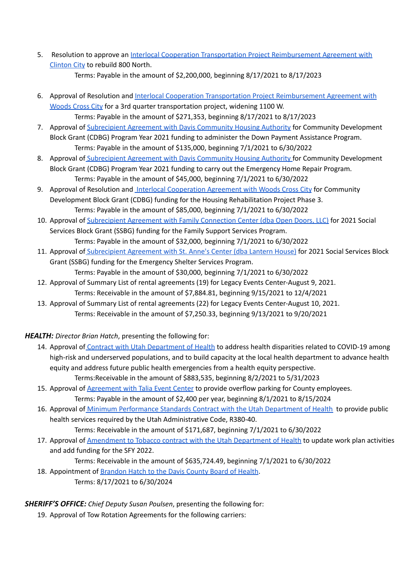5. Resolution to approve an Interlocal Cooperation Transportation Project [Reimbursement](https://drive.google.com/file/d/1QtFplgqAWjDj2R68Y99PrbgVY6OZZ1bL/view?usp=sharing) Agreement with [Clinton](https://drive.google.com/file/d/1QtFplgqAWjDj2R68Y99PrbgVY6OZZ1bL/view?usp=sharing) City to rebuild 800 North.

Terms: Payable in the amount of \$2,200,000, beginning 8/17/2021 to 8/17/2023

- 6. Approval of Resolution and Interlocal Cooperation Transportation Project [Reimbursement](https://drive.google.com/file/d/1ucyLixvpwWQqoXta64jKLDugi0SoTrKF/view?usp=sharing) Agreement with [Woods](https://drive.google.com/file/d/1ucyLixvpwWQqoXta64jKLDugi0SoTrKF/view?usp=sharing) Cross City for a 3rd quarter transportation project, widening 1100 W. Terms: Payable in the amount of \$271,353, beginning 8/17/2021 to 8/17/2023
- 7. Approval of [Subrecipient](https://drive.google.com/file/d/1uoyfGJv9UnI6cSs65ZzcuC8HBJPFYroP/view?usp=sharing) Agreement with Davis Community Housing Authority for Community Development Block Grant (CDBG) Program Year 2021 funding to administer the Down Payment Assistance Program. Terms: Payable in the amount of \$135,000, beginning 7/1/2021 to 6/30/2022
- 8. Approval of [Subrecipient](https://drive.google.com/file/d/1G5g0OgqWpniKxCl9Yx-b5Ll_G1XSUlqW/view?usp=sharing) Agreement with Davis Community Housing Authority for Community Development Block Grant (CDBG) Program Year 2021 funding to carry out the Emergency Home Repair Program. Terms: Payable in the amount of \$45,000, beginning 7/1/2021 to 6/30/2022
- 9. Approval of Resolution and Interlocal [Cooperation](https://drive.google.com/file/d/1Z3LDEc4G8KfTKXNlMa55hD7xpO33aQCe/view?usp=sharing) Agreement with Woods Cross City for Community Development Block Grant (CDBG) funding for the Housing Rehabilitation Project Phase 3. Terms: Payable in the amount of \$85,000, beginning 7/1/2021 to 6/30/2022
- 10. Approval of [Subrecipient](https://drive.google.com/file/d/1DpL6grZT6XBM8BoMVLNAZZYwjq6QmY9Q/view?usp=sharing) Agreement with Family Connection Center (dba Open Doors, LLC) for 2021 Social Services Block Grant (SSBG) funding for the Family Support Services Program. Terms: Payable in the amount of \$32,000, beginning 7/1/2021 to 6/30/2022
- 11. Approval of [Subrecipient](https://drive.google.com/file/d/1WYDe_N8-uu8hDNFuK622d7UkWmciXC64/view?usp=sharing) Agreement with St. Anne's Center (dba Lantern House) for 2021 Social Services Block Grant (SSBG) funding for the Emergency Shelter Services Program.
	- Terms: Payable in the amount of \$30,000, beginning 7/1/2021 to 6/30/2022
- 12. Approval of Summary List of rental agreements (19) for Legacy Events Center-August 9, 2021. Terms: Receivable in the amount of \$7,884.81, beginning 9/15/2021 to 12/4/2021
- 13. Approval of Summary List of rental agreements (22) for Legacy Events Center-August 10, 2021. Terms: Receivable in the amount of \$7,250.33, beginning 9/13/2021 to 9/20/2021

*HEALTH: Director Brian Hatch*, presenting the following for:

- 14. Approval of Contract with Utah [Department](https://drive.google.com/file/d/1HD_AabnQ-zUBjItvHdhduISQAoU0V4bz/view?usp=sharing) of Health to address health disparities related to COVID-19 among high-risk and underserved populations, and to build capacity at the local health department to advance health equity and address future public health emergencies from a health equity perspective. Terms:Receivable in the amount of \$883,535, beginning 8/2/2021 to 5/31/2023
- 15. Approval of [Agreement](https://drive.google.com/file/d/1irBjmjBBAmdMu67_W3SuH5qoWD8145o9/view?usp=sharing) with Talia Event Center to provide overflow parking for County employees. Terms: Payable in the amount of \$2,400 per year, beginning 8/1/2021 to 8/15/2024
- 16. Approval of Minimum [Performance](https://drive.google.com/file/d/1lyQe8ynb4Q3bDtVvAc9SmPMpiwSioSSB/view?usp=sharing) Standards Contract with the Utah Department of Health to provide public health services required by the Utah Administrative Code, R380-40.

Terms: Receivable in the amount of \$171,687, beginning 7/1/2021 to 6/30/2022

17. Approval of [Amendment](https://drive.google.com/file/d/1YA7hS9lNfnwRLxfZIW3TdZNZF8cQluXo/view?usp=sharing) to Tobacco contract with the Utah Department of Health to update work plan activities and add funding for the SFY 2022.

Terms: Receivable in the amount of \$635,724.49, beginning 7/1/2021 to 6/30/2022

18. Appointment of [Brandon](https://drive.google.com/file/d/1p_COAcM131HibYYLCXPCSQ-I3G56rwJA/view?usp=sharing) Hatch to the Davis County Board of Health. Terms: 8/17/2021 to 6/30/2024

### *SHERIFF'S OFFICE: Chief Deputy Susan Poulsen*, presenting the following for:

19. Approval of Tow Rotation Agreements for the following carriers: